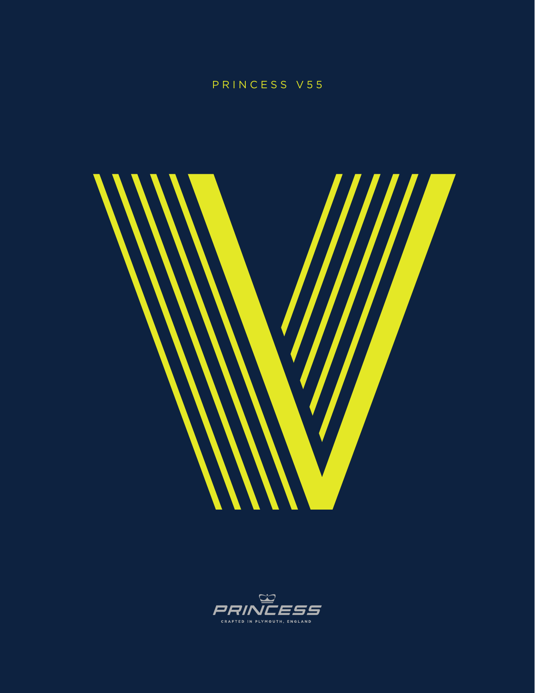# PRINCESS V55



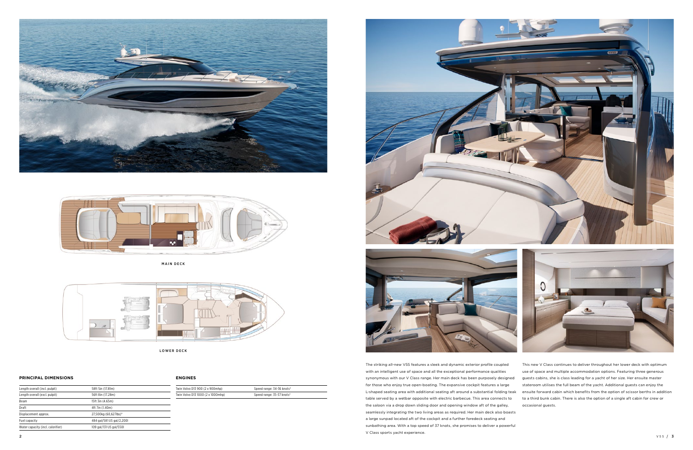The striking all-new V55 features a sleek and dynamic exterior profile coupled with an intelligent use of space and all the exceptional performance qualities synonymous with our V Class range. Her main deck has been purposely designed for those who enjoy true open-boating. The expansive cockpit features a large L-shaped seating area with additional seating aft around a substantial folding teak ensuite forward cabin which benefits from the option of scissor berths in addition table served by a wetbar opposite with electric barbecue. This area connects to the saloon via a drop down sliding door and opening window aft of the galley, seamlessly integrating the two living areas as required. Her main deck also boasts a large sunpad located aft of the cockpit and a further foredeck seating and sunbathing area. With a top speed of 37 knots, she promises to deliver a powerful V Class sports yacht experience. This new V Class continues to deliver throughout her lower deck with optimum use of space and multiple accommodation options. Featuring three generous guests cabins, she is class leading for a yacht of her size. Her ensuite master stateroom utilises the full beam of the yacht. Additional guests can enjoy the to a third bunk cabin. There is also the option of a single aft cabin for crew or occasional guests.



### **PRINCIPAL DIMENSIONS**

| Length overall (incl. pulpit)     | 58ft 5in (17.81m)         |  |
|-----------------------------------|---------------------------|--|
| Length overall (excl. pulpit)     | 56ft 8in (17.28m)         |  |
| Beam                              | 15ft 3in (4.65m)          |  |
| Draft                             | 4ft 7in (1.40m)           |  |
| Displacement approx.              | 27,500kg (60,627lbs)*     |  |
| Fuel capacity                     | 484 gal/581 US gal/2,2001 |  |
| Water capacity (incl. calorifier) | 109 gal/131 US gal/5501   |  |
|                                   |                           |  |

**ENGINES**

| Twin Volvo D13 900 (2 x 900mhp)   | Speed range: 34-36 knots <sup>+</sup> |  |
|-----------------------------------|---------------------------------------|--|
| Twin Volvo D13 1000 (2 x 1000mhp) | Speed range: 35-37 knots <sup>+</sup> |  |









MAIN DECK



LOWER DECK